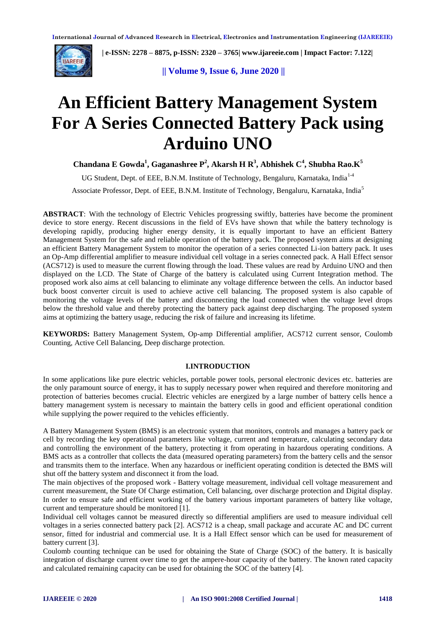

 **| e-ISSN: 2278 – 8875, p-ISSN: 2320 – 3765[| www.ijareeie.com](http://www.ijareeie.com/) | Impact Factor: 7.122|** 

**|| Volume 9, Issue 6, June 2020 ||** 

# **An Efficient Battery Management System For A Series Connected Battery Pack using Arduino UNO**

**Chandana E Gowda<sup>1</sup> , Gaganashree P<sup>2</sup> , Akarsh H R<sup>3</sup> , Abhishek C<sup>4</sup> , Shubha Rao.K<sup>5</sup>**

UG Student, Dept. of EEE, B.N.M. Institute of Technology, Bengaluru, Karnataka, India<sup>1-4</sup>

Associate Professor, Dept. of EEE, B.N.M. Institute of Technology, Bengaluru, Karnataka, India<sup>5</sup>

**ABSTRACT**: With the technology of Electric Vehicles progressing swiftly, batteries have become the prominent device to store energy. Recent discussions in the field of EVs have shown that while the battery technology is developing rapidly, producing higher energy density, it is equally important to have an efficient Battery Management System for the safe and reliable operation of the battery pack. The proposed system aims at designing an efficient Battery Management System to monitor the operation of a series connected Li-ion battery pack. It uses an Op-Amp differential amplifier to measure individual cell voltage in a series connected pack. A Hall Effect sensor (ACS712) is used to measure the current flowing through the load. These values are read by Arduino UNO and then displayed on the LCD. The State of Charge of the battery is calculated using Current Integration method. The proposed work also aims at cell balancing to eliminate any voltage difference between the cells. An inductor based buck boost converter circuit is used to achieve active cell balancing. The proposed system is also capable of monitoring the voltage levels of the battery and disconnecting the load connected when the voltage level drops below the threshold value and thereby protecting the battery pack against deep discharging. The proposed system aims at optimizing the battery usage, reducing the risk of failure and increasing its lifetime.

**KEYWORDS:** Battery Management System, Op-amp Differential amplifier, ACS712 current sensor, Coulomb Counting, Active Cell Balancing, Deep discharge protection.

## **I.INTRODUCTION**

In some applications like pure electric vehicles, portable power tools, personal electronic devices etc. batteries are the only paramount source of energy, it has to supply necessary power when required and therefore monitoring and protection of batteries becomes crucial. Electric vehicles are energized by a large number of battery cells hence a battery management system is necessary to maintain the battery cells in good and efficient operational condition while supplying the power required to the vehicles efficiently.

A Battery Management System (BMS) is an electronic system that monitors, controls and manages a battery pack or cell by recording the key operational parameters like voltage, current and temperature, calculating secondary data and controlling the environment of the battery, protecting it from operating in hazardous operating conditions. A BMS acts as a controller that collects the data (measured operating parameters) from the battery cells and the sensor and transmits them to the interface. When any hazardous or inefficient operating condition is detected the BMS will shut off the battery system and disconnect it from the load.

The main objectives of the proposed work - Battery voltage measurement, individual cell voltage measurement and current measurement, the State Of Charge estimation, Cell balancing, over discharge protection and Digital display. In order to ensure safe and efficient working of the battery various important parameters of battery like voltage, current and temperature should be monitored [1].

Individual cell voltages cannot be measured directly so differential amplifiers are used to measure individual cell voltages in a series connected battery pack [2]. ACS712 is a cheap, small package and accurate AC and DC current sensor, fitted for industrial and commercial use. It is a Hall Effect sensor which can be used for measurement of battery current [3].

Coulomb counting technique can be used for obtaining the State of Charge (SOC) of the battery. It is basically integration of discharge current over time to get the ampere-hour capacity of the battery. The known rated capacity and calculated remaining capacity can be used for obtaining the SOC of the battery [4].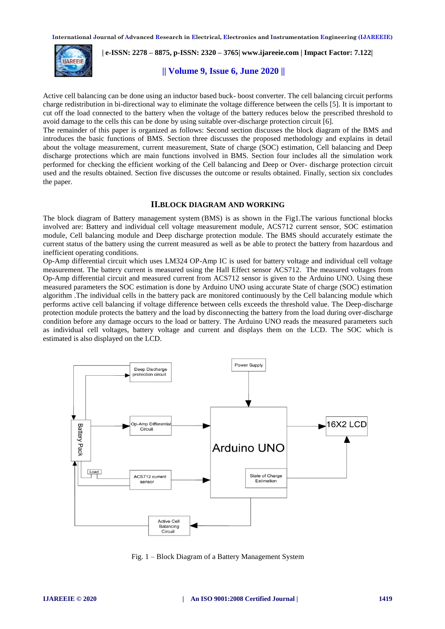

 **| e-ISSN: 2278 – 8875, p-ISSN: 2320 – 3765[| www.ijareeie.com](http://www.ijareeie.com/) | Impact Factor: 7.122|** 

# **|| Volume 9, Issue 6, June 2020 ||**

Active cell balancing can be done using an inductor based buck- boost converter. The cell balancing circuit performs charge redistribution in bi-directional way to eliminate the voltage difference between the cells [5]. It is important to cut off the load connected to the battery when the voltage of the battery reduces below the prescribed threshold to avoid damage to the cells this can be done by using suitable over-discharge protection circuit [6].

The remainder of this paper is organized as follows: Second section discusses the block diagram of the BMS and introduces the basic functions of BMS. Section three discusses the proposed methodology and explains in detail about the voltage measurement, current measurement, State of charge (SOC) estimation, Cell balancing and Deep discharge protections which are main functions involved in BMS. Section four includes all the simulation work performed for checking the efficient working of the Cell balancing and Deep or Over- discharge protection circuit used and the results obtained. Section five discusses the outcome or results obtained. Finally, section six concludes the paper.

## **II.BLOCK DIAGRAM AND WORKING**

The block diagram of Battery management system (BMS) is as shown in the Fig1.The various functional blocks involved are: Battery and individual cell voltage measurement module, ACS712 current sensor, SOC estimation module, Cell balancing module and Deep discharge protection module. The BMS should accurately estimate the current status of the battery using the current measured as well as be able to protect the battery from hazardous and inefficient operating conditions.

Op-Amp differential circuit which uses LM324 OP-Amp IC is used for battery voltage and individual cell voltage measurement. The battery current is measured using the Hall Effect sensor ACS712. The measured voltages from Op-Amp differential circuit and measured current from ACS712 sensor is given to the Arduino UNO. Using these measured parameters the SOC estimation is done by Arduino UNO using accurate State of charge (SOC) estimation algorithm .The individual cells in the battery pack are monitored continuously by the Cell balancing module which performs active cell balancing if voltage difference between cells exceeds the threshold value. The Deep-discharge protection module protects the battery and the load by disconnecting the battery from the load during over-discharge condition before any damage occurs to the load or battery. The Arduino UNO reads the measured parameters such as individual cell voltages, battery voltage and current and displays them on the LCD. The SOC which is estimated is also displayed on the LCD.



Fig. 1 – Block Diagram of a Battery Management System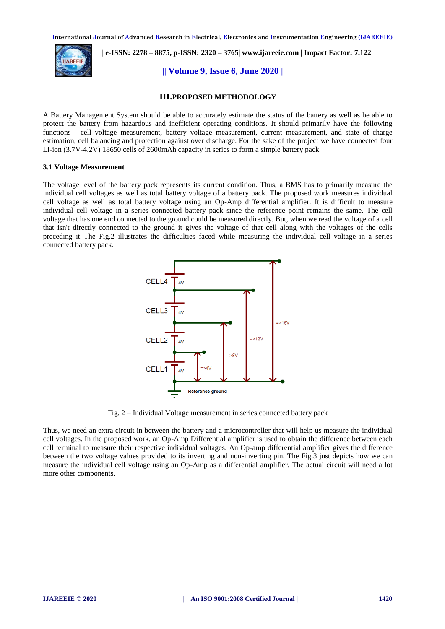

 **| e-ISSN: 2278 – 8875, p-ISSN: 2320 – 3765[| www.ijareeie.com](http://www.ijareeie.com/) | Impact Factor: 7.122|** 

**|| Volume 9, Issue 6, June 2020 ||** 

# **III.PROPOSED METHODOLOGY**

A Battery Management System should be able to accurately estimate the status of the battery as well as be able to protect the battery from hazardous and inefficient operating conditions. It should primarily have the following functions - cell voltage measurement, battery voltage measurement, current measurement, and state of charge estimation, cell balancing and protection against over discharge. For the sake of the project we have connected four Li-ion (3.7V-4.2V) 18650 cells of 2600mAh capacity in series to form a simple battery pack.

#### **3.1 Voltage Measurement**

The voltage level of the battery pack represents its current condition. Thus, a BMS has to primarily measure the individual cell voltages as well as total battery voltage of a battery pack. The proposed work measures individual cell voltage as well as total battery voltage using an Op-Amp differential amplifier. It is difficult to measure individual cell voltage in a series connected battery pack since the reference point remains the same. The cell voltage that has one end connected to the ground could be measured directly. But, when we read the voltage of a cell that isn't directly connected to the ground it gives the voltage of that cell along with the voltages of the cells preceding it. The Fig.2 illustrates the difficulties faced while measuring the individual cell voltage in a series connected battery pack.



Fig. 2 – Individual Voltage measurement in series connected battery pack

Thus, we need an extra circuit in between the battery and a microcontroller that will help us measure the individual cell voltages. In the proposed work, an Op-Amp Differential amplifier is used to obtain the difference between each cell terminal to measure their respective individual voltages. An Op-amp differential amplifier gives the difference between the two voltage values provided to its inverting and non-inverting pin. The Fig.3 just depicts how we can measure the individual cell voltage using an Op-Amp as a differential amplifier. The actual circuit will need a lot more other components.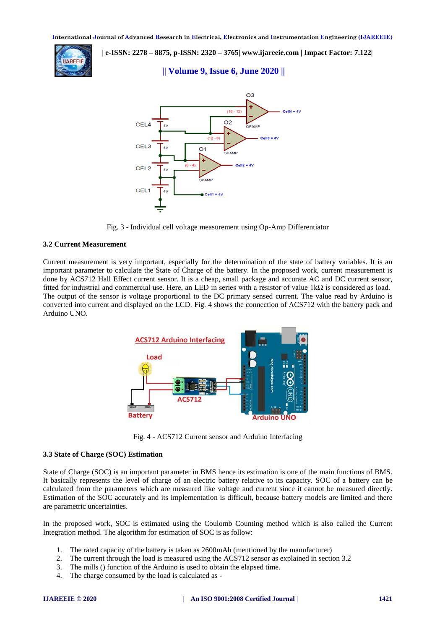

 **| e-ISSN: 2278 – 8875, p-ISSN: 2320 – 3765[| www.ijareeie.com](http://www.ijareeie.com/) | Impact Factor: 7.122|** 

# **|| Volume 9, Issue 6, June 2020 ||**



Fig. 3 - Individual cell voltage measurement using Op-Amp Differentiator

# **3.2 Current Measurement**

Current measurement is very important, especially for the determination of the state of battery variables. It is an important parameter to calculate the State of Charge of the battery. In the proposed work, current measurement is done by ACS712 Hall Effect current sensor. It is a cheap, small package and accurate AC and DC current sensor, fitted for industrial and commercial use. Here, an LED in series with a resistor of value 1kΩ is considered as load. The output of the sensor is voltage proportional to the DC primary sensed current. The value read by Arduino is converted into current and displayed on the LCD. Fig. 4 shows the connection of ACS712 with the battery pack and Arduino UNO.



Fig. 4 - ACS712 Current sensor and Arduino Interfacing

# **3.3 State of Charge (SOC) Estimation**

State of Charge (SOC) is an important parameter in BMS hence its estimation is one of the main functions of BMS. It basically represents the level of charge of an electric battery relative to its capacity. SOC of a battery can be calculated from the parameters which are measured like voltage and current since it cannot be measured directly. Estimation of the SOC accurately and its implementation is difficult, because battery models are limited and there are parametric uncertainties.

In the proposed work, SOC is estimated using the Coulomb Counting method which is also called the Current Integration method. The algorithm for estimation of SOC is as follow:

- 1. The rated capacity of the battery is taken as 2600mAh (mentioned by the manufacturer)
- 2. The current through the load is measured using the ACS712 sensor as explained in section 3.2
- 3. The mills () function of the Arduino is used to obtain the elapsed time.
- 4. The charge consumed by the load is calculated as -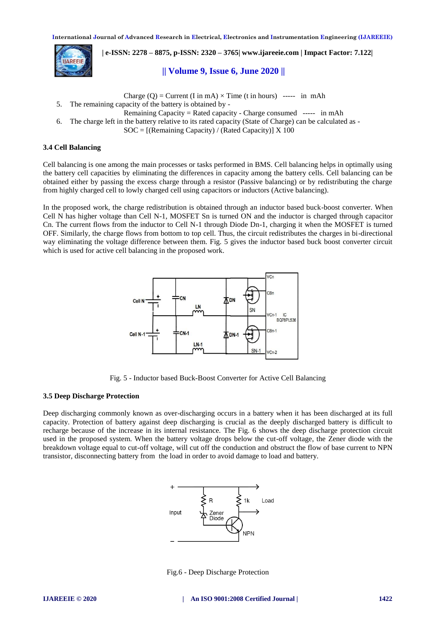

 **| e-ISSN: 2278 – 8875, p-ISSN: 2320 – 3765[| www.ijareeie.com](http://www.ijareeie.com/) | Impact Factor: 7.122|** 

# **|| Volume 9, Issue 6, June 2020 ||**

Charge  $(O)$  = Current (I in mA)  $\times$  Time (t in hours) ----- in mAh

5. The remaining capacity of the battery is obtained by -

Remaining Capacity = Rated capacity - Charge consumed ----- in mAh

6. The charge left in the battery relative to its rated capacity (State of Charge) can be calculated as -

 $SOC = [(Remaining Capacity) / (Rated Capacity)] \times 100$ 

# **3.4 Cell Balancing**

Cell balancing is one among the main processes or tasks performed in BMS. Cell balancing helps in optimally using the battery cell capacities by eliminating the differences in capacity among the battery cells. Cell balancing can be obtained either by passing the excess charge through a resistor (Passive balancing) or by redistributing the charge from highly charged cell to lowly charged cell using capacitors or inductors (Active balancing).

In the proposed work, the charge redistribution is obtained through an inductor based buck-boost converter. When Cell N has higher voltage than Cell N-1, MOSFET Sn is turned ON and the inductor is charged through capacitor Cn. The current flows from the inductor to Cell N-1 through Diode Dn-1, charging it when the MOSFET is turned OFF. Similarly, the charge flows from bottom to top cell. Thus, the circuit redistributes the charges in bi-directional way eliminating the voltage difference between them. Fig. 5 gives the inductor based buck boost converter circuit which is used for active cell balancing in the proposed work.



Fig. 5 - Inductor based Buck-Boost Converter for Active Cell Balancing

# **3.5 Deep Discharge Protection**

Deep discharging commonly known as over-discharging occurs in a battery when it has been discharged at its full capacity. Protection of battery against deep discharging is crucial as the deeply discharged battery is difficult to recharge because of the increase in its internal resistance. The Fig. 6 shows the deep discharge protection circuit used in the proposed system. When the battery voltage drops below the cut-off voltage, the Zener diode with the breakdown voltage equal to cut-off voltage, will cut off the conduction and obstruct the flow of base current to NPN transistor, disconnecting battery from the load in order to avoid damage to load and battery.



Fig.6 - Deep Discharge Protection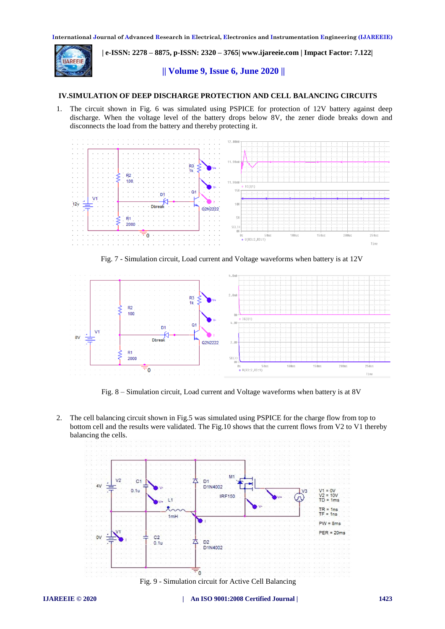

 **| e-ISSN: 2278 – 8875, p-ISSN: 2320 – 3765[| www.ijareeie.com](http://www.ijareeie.com/) | Impact Factor: 7.122|** 

# **|| Volume 9, Issue 6, June 2020 ||**

## **IV.SIMULATION OF DEEP DISCHARGE PROTECTION AND CELL BALANCING CIRCUITS**

1. The circuit shown in Fig. 6 was simulated using PSPICE for protection of 12V battery against deep discharge. When the voltage level of the battery drops below 8V, the zener diode breaks down and disconnects the load from the battery and thereby protecting it.



Fig. 7 - Simulation circuit, Load current and Voltage waveforms when battery is at 12V



Fig. 8 – Simulation circuit, Load current and Voltage waveforms when battery is at 8V

2. The cell balancing circuit shown in Fig.5 was simulated using PSPICE for the charge flow from top to bottom cell and the results were validated. The Fig.10 shows that the current flows from V2 to V1 thereby balancing the cells.

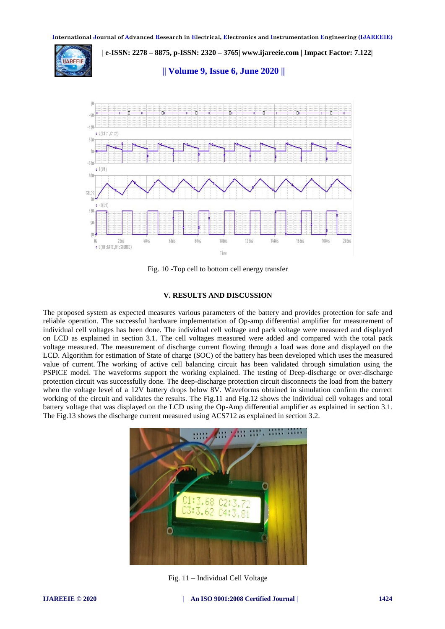

 **| e-ISSN: 2278 – 8875, p-ISSN: 2320 – 3765[| www.ijareeie.com](http://www.ijareeie.com/) | Impact Factor: 7.122|** 

**|| Volume 9, Issue 6, June 2020 ||** 



Fig. 10 -Top cell to bottom cell energy transfer

#### **V. RESULTS AND DISCUSSION**

The proposed system as expected measures various parameters of the battery and provides protection for safe and reliable operation. The successful hardware implementation of Op-amp differential amplifier for measurement of individual cell voltages has been done. The individual cell voltage and pack voltage were measured and displayed on LCD as explained in section 3.1. The cell voltages measured were added and compared with the total pack voltage measured. The measurement of discharge current flowing through a load was done and displayed on the LCD. Algorithm for estimation of State of charge (SOC) of the battery has been developed which uses the measured value of current. The working of active cell balancing circuit has been validated through simulation using the PSPICE model. The waveforms support the working explained. The testing of Deep-discharge or over-discharge protection circuit was successfully done. The deep-discharge protection circuit disconnects the load from the battery when the voltage level of a 12V battery drops below 8V. Waveforms obtained in simulation confirm the correct working of the circuit and validates the results. The Fig.11 and Fig.12 shows the individual cell voltages and total battery voltage that was displayed on the LCD using the Op-Amp differential amplifier as explained in section 3.1. The Fig.13 shows the discharge current measured using ACS712 as explained in section 3.2.



Fig. 11 – Individual Cell Voltage